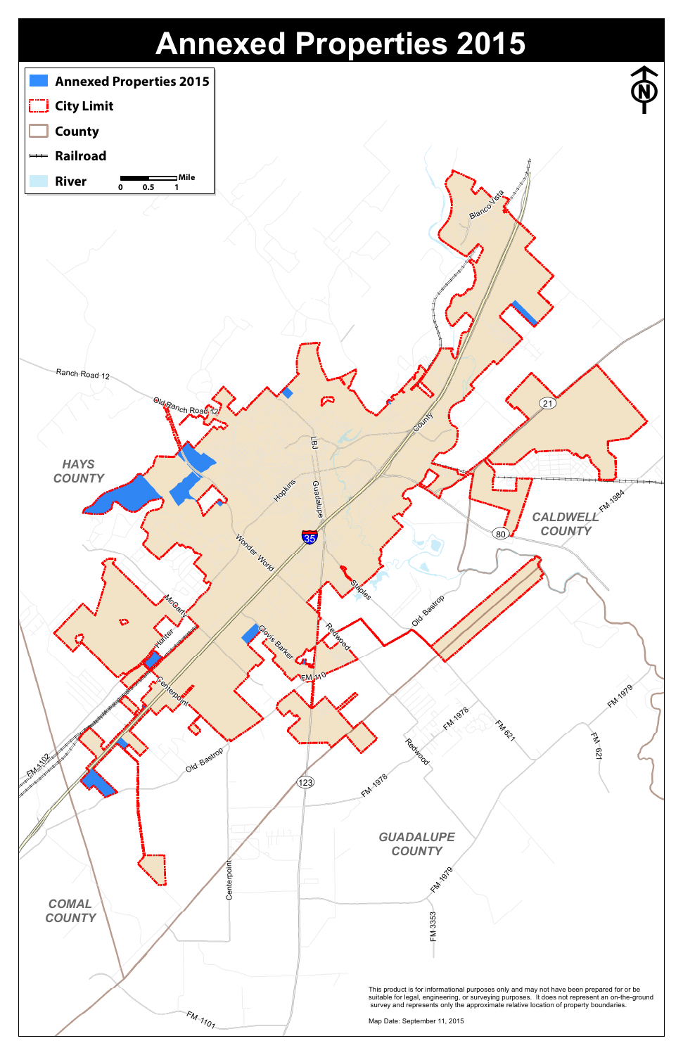## **Annexed Properties 2015**